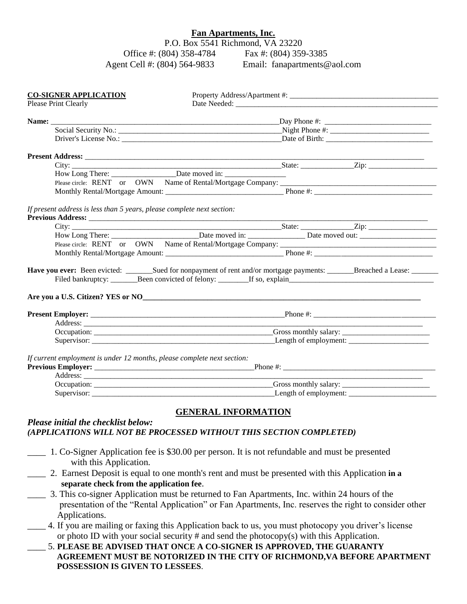## **Fan Apartments, Inc.**

P.O. Box 5541 Richmond, VA 23220 Office #: (804) 358-4784 Fax #: (804) 359-3385<br>
nt Cell #: (804) 564-9833 Email: fanapartments@aol.com Agent Cell #: (804) 564-9833

| Please Print Clearly                                                                                                                                                                                                                                                                                     | <u> 1989 - Johann John Stein, meilicher Stein und der Stein und der Stein und der Stein und der Stein und der Stei</u> |  |  |  |  |  |
|----------------------------------------------------------------------------------------------------------------------------------------------------------------------------------------------------------------------------------------------------------------------------------------------------------|------------------------------------------------------------------------------------------------------------------------|--|--|--|--|--|
|                                                                                                                                                                                                                                                                                                          |                                                                                                                        |  |  |  |  |  |
|                                                                                                                                                                                                                                                                                                          |                                                                                                                        |  |  |  |  |  |
|                                                                                                                                                                                                                                                                                                          |                                                                                                                        |  |  |  |  |  |
| Driver's License No.: Date of Birth:                                                                                                                                                                                                                                                                     |                                                                                                                        |  |  |  |  |  |
|                                                                                                                                                                                                                                                                                                          |                                                                                                                        |  |  |  |  |  |
|                                                                                                                                                                                                                                                                                                          |                                                                                                                        |  |  |  |  |  |
| How Long There: ________________________Date moved in: __________________________                                                                                                                                                                                                                        |                                                                                                                        |  |  |  |  |  |
|                                                                                                                                                                                                                                                                                                          |                                                                                                                        |  |  |  |  |  |
|                                                                                                                                                                                                                                                                                                          |                                                                                                                        |  |  |  |  |  |
| If present address is less than 5 years, please complete next section:<br>Previous Address: New York Contract to the Contract of the Contract of the Contract of the Contract of the Contract of the Contract of the Contract of the Contract of the Contract of the Contract of the Contract of the Con |                                                                                                                        |  |  |  |  |  |
|                                                                                                                                                                                                                                                                                                          |                                                                                                                        |  |  |  |  |  |
|                                                                                                                                                                                                                                                                                                          |                                                                                                                        |  |  |  |  |  |
|                                                                                                                                                                                                                                                                                                          |                                                                                                                        |  |  |  |  |  |
|                                                                                                                                                                                                                                                                                                          |                                                                                                                        |  |  |  |  |  |
| Have you ever: Been evicted: ________Sued for nonpayment of rent and/or mortgage payments: _______Breached a Lease: _______                                                                                                                                                                              |                                                                                                                        |  |  |  |  |  |
|                                                                                                                                                                                                                                                                                                          |                                                                                                                        |  |  |  |  |  |
| Address: No. 1998. The Commission of the Commission of the Commission of the Commission of the Commission of the Commission of the Commission of the Commission of the Commission of the Commission of the Commission of the C                                                                           |                                                                                                                        |  |  |  |  |  |
|                                                                                                                                                                                                                                                                                                          |                                                                                                                        |  |  |  |  |  |
|                                                                                                                                                                                                                                                                                                          |                                                                                                                        |  |  |  |  |  |
| If current employment is under 12 months, please complete next section:                                                                                                                                                                                                                                  |                                                                                                                        |  |  |  |  |  |
|                                                                                                                                                                                                                                                                                                          |                                                                                                                        |  |  |  |  |  |
|                                                                                                                                                                                                                                                                                                          |                                                                                                                        |  |  |  |  |  |
| Please initial the checklist below:<br>(APPLICATIONS WILL NOT BE PROCESSED WITHOUT THIS SECTION COMPLETED)                                                                                                                                                                                               | <b>GENERAL INFORMATION</b>                                                                                             |  |  |  |  |  |
| 1. Co-Signer Application fee is \$30.00 per person. It is not refundable and must be presented<br>with this Application.                                                                                                                                                                                 |                                                                                                                        |  |  |  |  |  |
| 2. Earnest Deposit is equal to one month's rent and must be presented with this Application in a<br>separate check from the application fee.                                                                                                                                                             |                                                                                                                        |  |  |  |  |  |
| 3. This co-signer Application must be returned to Fan Apartments, Inc. within 24 hours of the<br>presentation of the "Rental Application" or Fan Apartments, Inc. reserves the right to consider other<br>Applications.                                                                                  |                                                                                                                        |  |  |  |  |  |
| 4. If you are mailing or faxing this Application back to us, you must photocopy you driver's license<br>or photo ID with your social security $\#$ and send the photocopy(s) with this Application.<br>5. PLEASE BE ADVISED THAT ONCE A CO-SIGNER IS APPROVED, THE GUARANTY                              |                                                                                                                        |  |  |  |  |  |

**AGREEMENT MUST BE NOTORIZED IN THE CITY OF RICHMOND,VA BEFORE APARTMENT POSSESSION IS GIVEN TO LESSEES**.